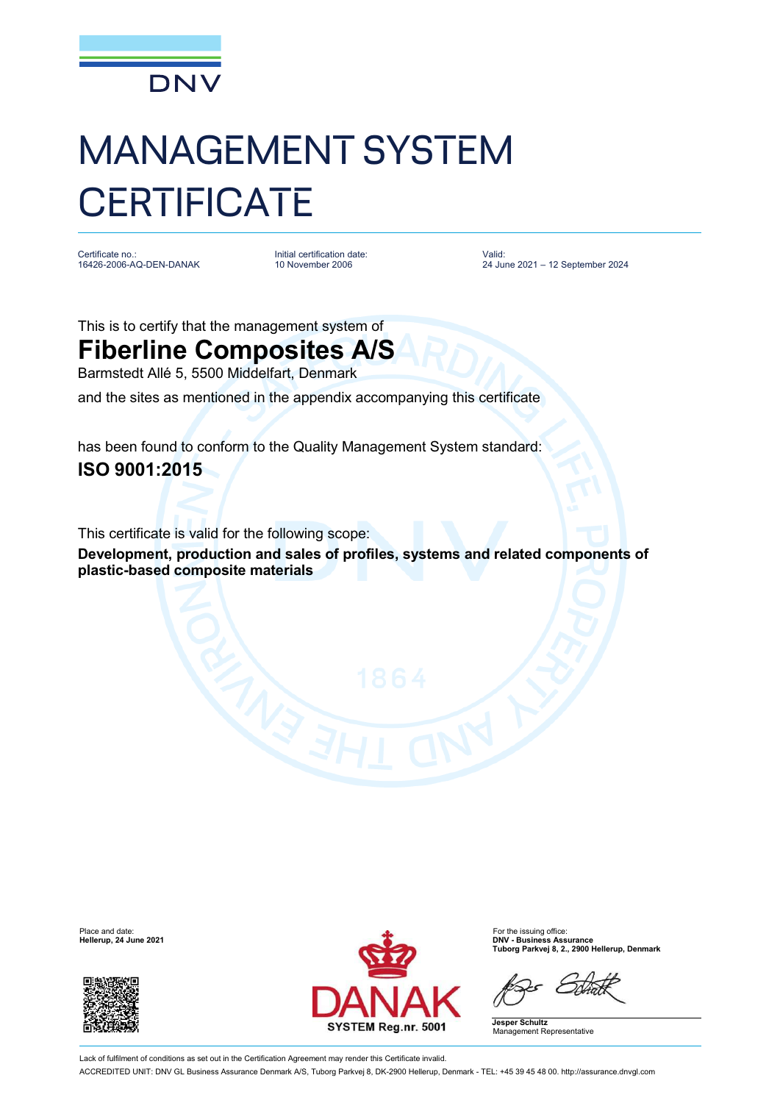

## MANAGEMENT SYSTEM **CERTIFICATE**

Certificate no.: 16426-2006-AQ-DEN-DANAK Initial certification date: 10 November 2006

Valid: 24 June 2021 – 12 September 2024

This is to certify that the management system of

## **Fiberline Composites A/S**

Barmstedt Allé 5, 5500 Middelfart, Denmark

and the sites as mentioned in the appendix accompanying this certificate

has been found to conform to the Quality Management System standard: **ISO 9001:2015**

This certificate is valid for the following scope: **Development, production and sales of profiles, systems and related components of plastic-based composite materials**

**Hellerup, 24 June 2021** 





**Tuborg Parkvej 8, 2., 2900 Hellerup, Denmark**

**Jesper Schultz** Management Representative

Lack of fulfilment of conditions as set out in the Certification Agreement may render this Certificate invalid. ACCREDITED UNIT: DNV GL Business Assurance Denmark A/S, Tuborg Parkvej 8, DK-2900 Hellerup, Denmark - TEL: +45 39 45 48 00. <http://assurance.dnvgl.com>